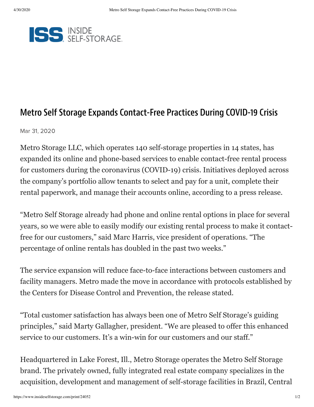

## Metro Self Storage Expands Contact-Free Practices During COVID-19 Crisis

Mar 31, 2020

Metro Storage LLC, which operates 140 self-storage properties in 14 states, has expanded its online and phone-based services to enable contact-free rental process for customers during the coronavirus (COVID-19) crisis. Initiatives deployed across the company's portfolio allow tenants to select and pay for a unit, complete their rental paperwork, and manage their accounts online, according to a press release.

"Metro Self Storage already had phone and online rental options in place for several years, so we were able to easily modify our existing rental process to make it contactfree for our customers," said Marc Harris, vice president of operations. "The percentage of online rentals has doubled in the past two weeks."

The service expansion will reduce face-to-face interactions between customers and facility managers. Metro made the move in accordance with protocols established by the Centers for Disease Control and Prevention, the release stated.

"Total customer satisfaction has always been one of Metro Self Storage's guiding principles," said Marty Gallagher, president. "We are pleased to offer this enhanced service to our customers. It's a win-win for our customers and our staff."

Headquartered in Lake Forest, Ill., Metro Storage operates the Metro Self Storage brand. The privately owned, fully integrated real estate company specializes in the acquisition, development and management of self-storage facilities in Brazil, Central